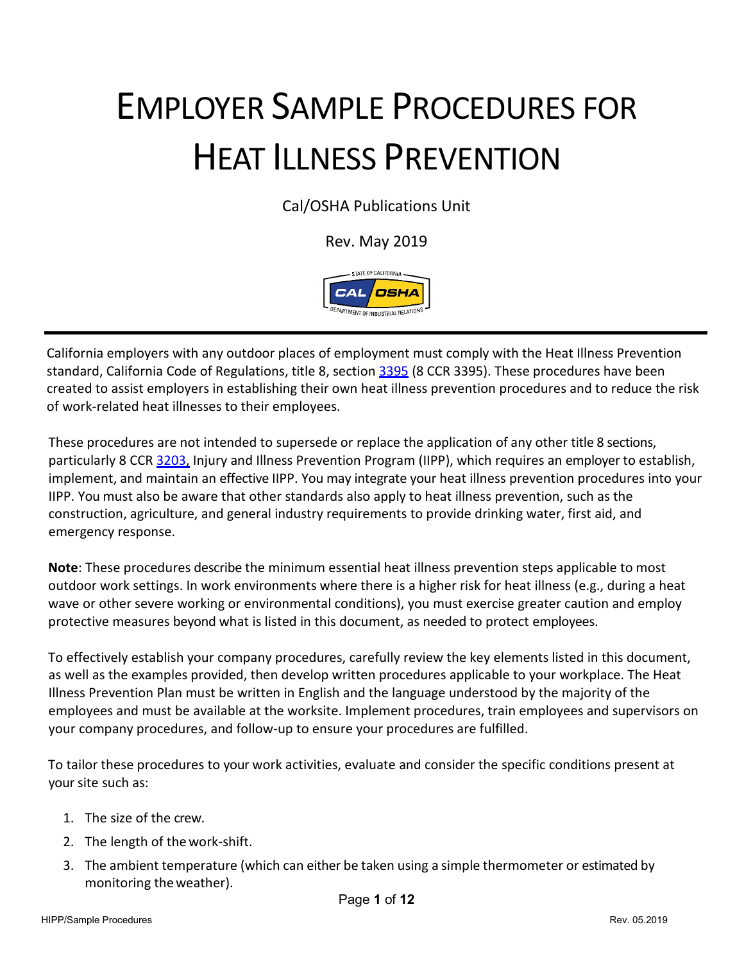# EMPLOYER SAMPLE PROCEDURES FOR HEAT ILLNESS PREVENTION

Cal/OSHA Publications Unit

Rev. May 2019



California employers with any outdoor places of employment must comply with the Heat Illness Prevention standard, California Code of Regulations, title 8, section [3395](http://www.dir.ca.gov/title8/3395.html) (8 CCR 3395). These procedures have been created to assist employers in establishing their own heat illness prevention procedures and to reduce the risk of work-related heat illnesses to their employees.

These procedures are not intended to supersede or replace the application of any other title 8 sections, particularly 8 CC[R 3203,](http://www.dir.ca.gov/title8/3203.html) Injury and Illness Prevention Program (IIPP), which requires an employer to establish, implement, and maintain an effective IIPP. You may integrate your heat illness prevention procedures into your IIPP. You must also be aware that other standards also apply to heat illness prevention, such as the construction, agriculture, and general industry requirements to provide drinking water, first aid, and emergency response.

**Note**: These procedures describe the minimum essential heat illness prevention steps applicable to most outdoor work settings. In work environments where there is a higher risk for heat illness (e.g., during a heat wave or other severe working or environmental conditions), you must exercise greater caution and employ protective measures beyond what is listed in this document, as needed to protect employees.

To effectively establish your company procedures, carefully review the key elements listed in this document, as well as the examples provided, then develop written procedures applicable to your workplace. The Heat Illness Prevention Plan must be written in English and the language understood by the majority of the employees and must be available at the worksite. Implement procedures, train employees and supervisors on your company procedures, and follow-up to ensure your procedures are fulfilled.

To tailor these procedures to your work activities, evaluate and consider the specific conditions present at your site such as:

- 1. The size of the crew.
- 2. The length of thework-shift.
- 3. The ambient temperature (which can either be taken using a simple thermometer or estimated by monitoring theweather).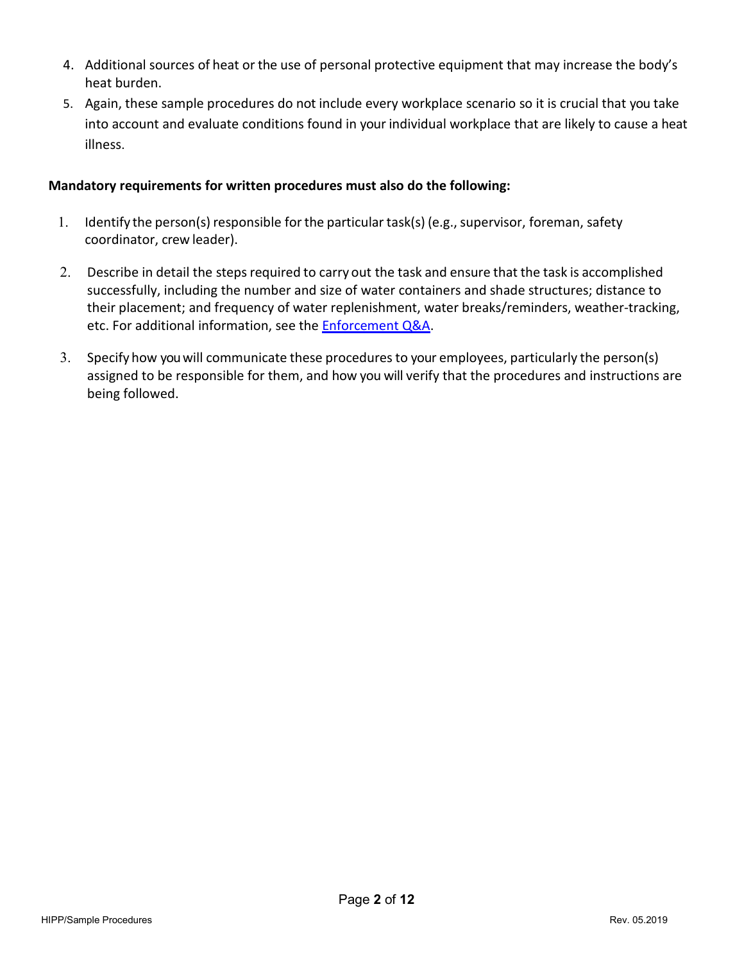- 4. Additional sources of heat or the use of personal protective equipment that may increase the body's heat burden.
- 5. Again, these sample procedures do not include every workplace scenario so it is crucial that you take into account and evaluate conditions found in your individual workplace that are likely to cause a heat illness.

### **Mandatory requirements for written procedures must also do the following:**

- 1. Identify the person(s) responsible forthe particular task(s) (e.g., supervisor, foreman, safety coordinator, crew leader).
- 2. Describe in detail the steps required to carry out the task and ensure that the task is accomplished successfully, including the number and size of water containers and shade structures; distance to their placement; and frequency of water replenishment, water breaks/reminders, weather-tracking, etc. For additional information, see the **Enforcement Q&A**.
- 3. Specify how you will communicate these proceduresto your employees, particularly the person(s) assigned to be responsible for them, and how you will verify that the procedures and instructions are being followed.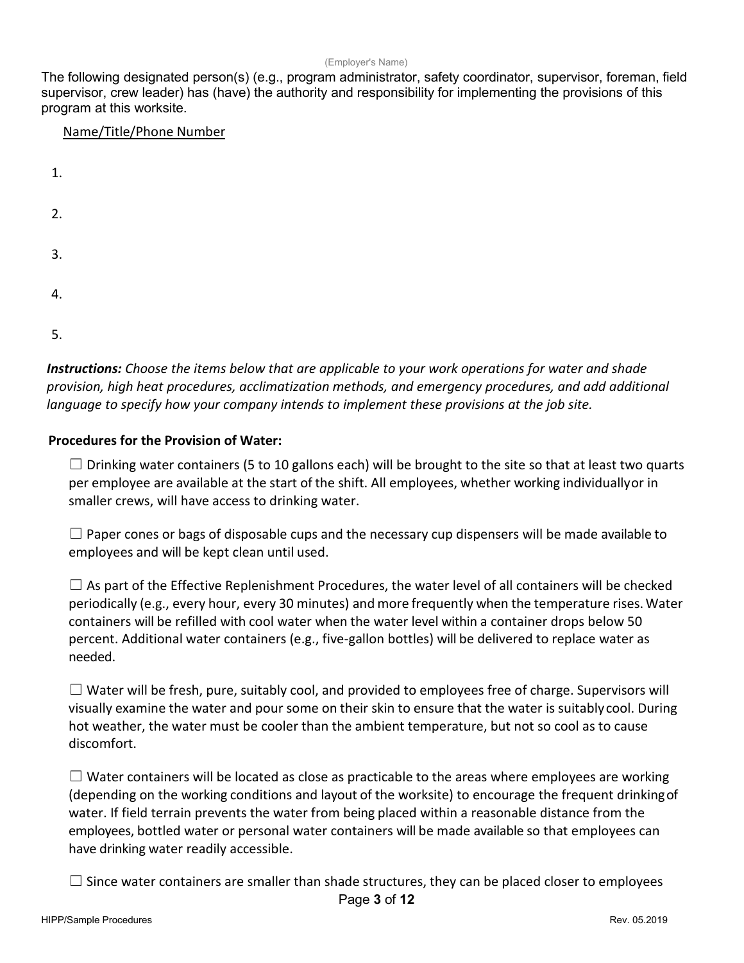#### (Employer's Name)

The following designated person(s) (e.g., program administrator, safety coordinator, supervisor, foreman, field supervisor, crew leader) has (have) the authority and responsibility for implementing the provisions of this program at this worksite.

#### Name/Title/Phone Number

| 1. |  |  |  |
|----|--|--|--|
| 2. |  |  |  |
| 3. |  |  |  |
| 4. |  |  |  |
| 5. |  |  |  |

*Instructions: Choose the items below that are applicable to your work operations for water and shade provision, high heat procedures, acclimatization methods, and emergency procedures, and add additional language to specify how your company intends to implement these provisions at the job site.*

#### **Procedures for the Provision of Water:**

 $\Box$  Drinking water containers (5 to 10 gallons each) will be brought to the site so that at least two quarts per employee are available at the start of the shift. All employees, whether working individuallyor in smaller crews, will have access to drinking water.

 $\Box$  Paper cones or bags of disposable cups and the necessary cup dispensers will be made available to employees and will be kept clean until used.

 $\Box$  As part of the Effective Replenishment Procedures, the water level of all containers will be checked periodically (e.g., every hour, every 30 minutes) and more frequently when the temperature rises. Water containers will be refilled with cool water when the water level within a container drops below 50 percent. Additional water containers (e.g., five-gallon bottles) will be delivered to replace water as needed.

 $\Box$  Water will be fresh, pure, suitably cool, and provided to employees free of charge. Supervisors will visually examine the water and pour some on their skin to ensure that the water is suitablycool. During hot weather, the water must be cooler than the ambient temperature, but not so cool as to cause discomfort.

 $\Box$  Water containers will be located as close as practicable to the areas where employees are working (depending on the working conditions and layout of the worksite) to encourage the frequent drinkingof water. If field terrain prevents the water from being placed within a reasonable distance from the employees, bottled water or personal water containers will be made available so that employees can have drinking water readily accessible.

 $\Box$  Since water containers are smaller than shade structures, they can be placed closer to employees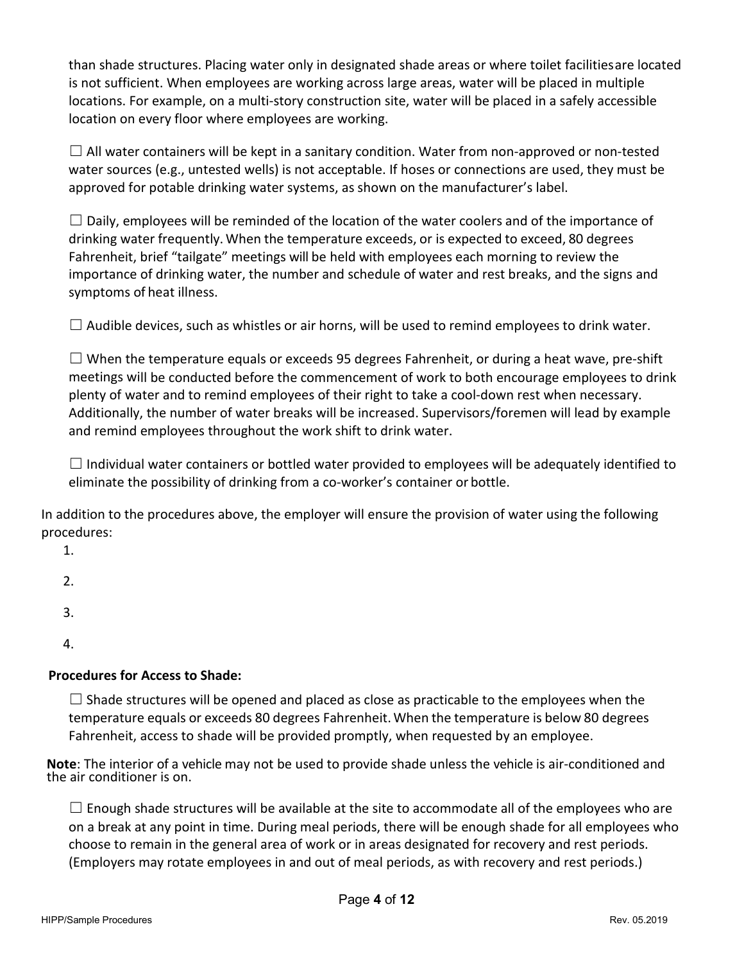than shade structures. Placing water only in designated shade areas or where toilet facilitiesare located is not sufficient. When employees are working across large areas, water will be placed in multiple locations. For example, on a multi-story construction site, water will be placed in a safely accessible location on every floor where employees are working.

 $\Box$  All water containers will be kept in a sanitary condition. Water from non-approved or non-tested water sources (e.g., untested wells) is not acceptable. If hoses or connections are used, they must be approved for potable drinking water systems, as shown on the manufacturer's label.

 $\Box$  Daily, employees will be reminded of the location of the water coolers and of the importance of drinking water frequently. When the temperature exceeds, or is expected to exceed, 80 degrees Fahrenheit, brief "tailgate" meetings will be held with employees each morning to review the importance of drinking water, the number and schedule of water and rest breaks, and the signs and symptoms of heat illness.

 $\Box$  Audible devices, such as whistles or air horns, will be used to remind employees to drink water.

 $\Box$  When the temperature equals or exceeds 95 degrees Fahrenheit, or during a heat wave, pre-shift meetings will be conducted before the commencement of work to both encourage employees to drink plenty of water and to remind employees of their right to take a cool-down rest when necessary. Additionally, the number of water breaks will be increased. Supervisors/foremen will lead by example and remind employees throughout the work shift to drink water.

 $\Box$  Individual water containers or bottled water provided to employees will be adequately identified to eliminate the possibility of drinking from a co-worker's container or bottle.

In addition to the procedures above, the employer will ensure the provision of water using the following procedures:

- 1.
- 2.
- 3.
- 4.

# **Procedures for Access to Shade:**

 $\square$  Shade structures will be opened and placed as close as practicable to the employees when the temperature equals or exceeds 80 degrees Fahrenheit.When the temperature is below 80 degrees Fahrenheit, access to shade will be provided promptly, when requested by an employee.

**Note**: The interior of a vehicle may not be used to provide shade unless the vehicle is air-conditioned and the air conditioner is on.

 $\Box$  Enough shade structures will be available at the site to accommodate all of the employees who are on a break at any point in time. During meal periods, there will be enough shade for all employees who choose to remain in the general area of work or in areas designated for recovery and rest periods. (Employers may rotate employees in and out of meal periods, as with recovery and rest periods.)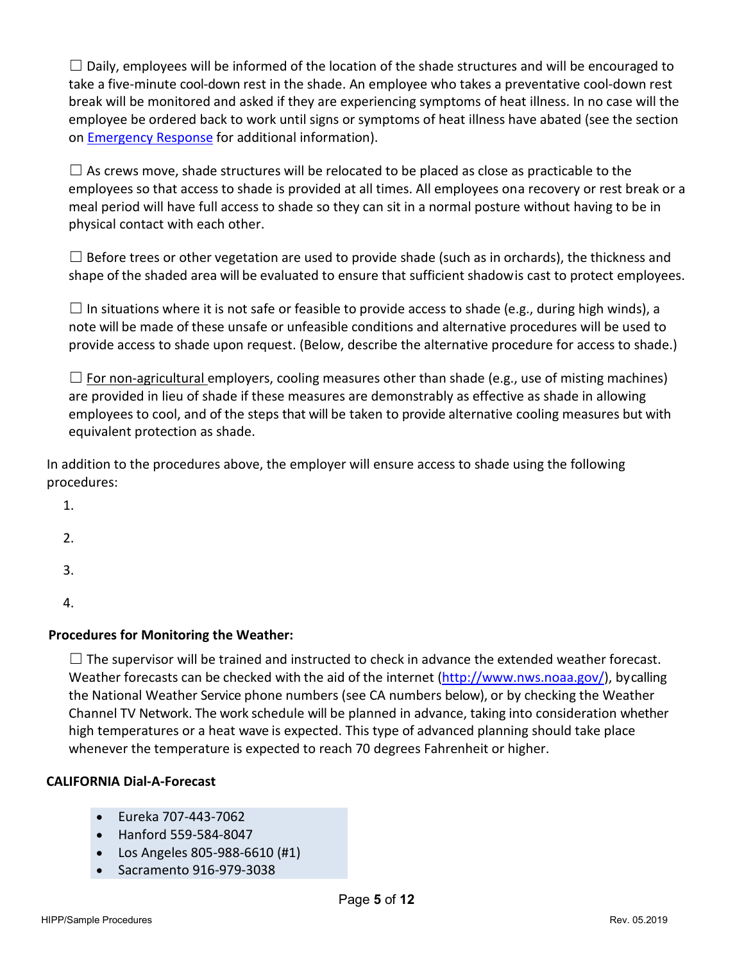$\Box$  Daily, employees will be informed of the location of the shade structures and will be encouraged to take a five-minute cool-down rest in the shade. An employee who takes a preventative cool-down rest break will be monitored and asked if they are experiencing symptoms of heat illness. In no case will the employee be ordered back to work until signs or symptoms of heat illness have abated (see the section on [Emergency Response](#page-8-0) for additional information).

 $\Box$  As crews move, shade structures will be relocated to be placed as close as practicable to the employees so that access to shade is provided at all times. All employees on a recovery or rest break or a meal period will have full access to shade so they can sit in a normal posture without having to be in physical contact with each other.

 $\Box$  Before trees or other vegetation are used to provide shade (such as in orchards), the thickness and shape of the shaded area will be evaluated to ensure that sufficient shadowis cast to protect employees.

 $\square$  In situations where it is not safe or feasible to provide access to shade (e.g., during high winds), a note will be made of these unsafe or unfeasible conditions and alternative procedures will be used to provide access to shade upon request. (Below, describe the alternative procedure for access to shade.)

 $\Box$  For non-agricultural employers, cooling measures other than shade (e.g., use of misting machines) are provided in lieu of shade if these measures are demonstrably as effective as shade in allowing employees to cool, and of the steps that will be taken to provide alternative cooling measures but with equivalent protection as shade.

In addition to the procedures above, the employer will ensure access to shade using the following procedures:

1.

2.

3.

4.

# **Procedures for Monitoring the Weather:**

 $\Box$  The supervisor will be trained and instructed to check in advance the extended weather forecast. Weather forecasts can be checked with the aid of the internet [\(http://www.nws.noaa.gov/\)](http://www.nws.noaa.gov/), bycalling the National Weather Service phone numbers (see CA numbers below), or by checking the Weather Channel TV Network. The work schedule will be planned in advance, taking into consideration whether high temperatures or a heat wave is expected. This type of advanced planning should take place whenever the temperature is expected to reach 70 degrees Fahrenheit or higher.

## **CALIFORNIA Dial-A-Forecast**

- Eureka 707-443-7062
- Hanford 559-584-8047
- Los Angeles 805-988-6610 (#1)
- Sacramento 916-979-3038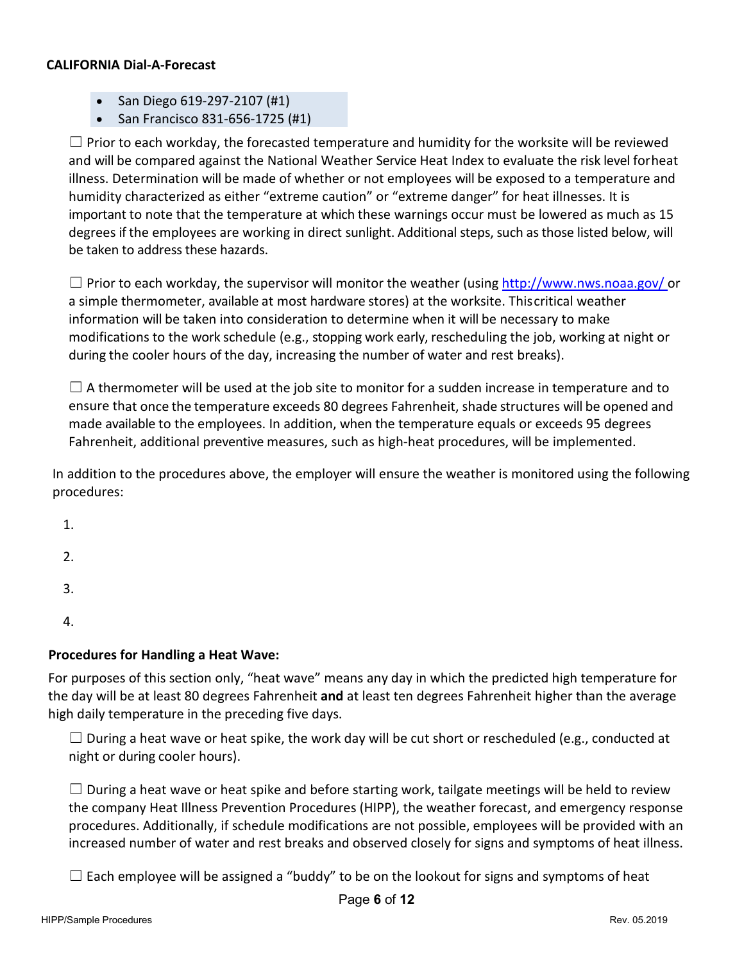#### **CALIFORNIA Dial-A-Forecast**

- San Diego 619-297-2107 (#1)
- San Francisco 831-656-1725 (#1)

 $\Box$  Prior to each workday, the forecasted temperature and humidity for the worksite will be reviewed and will be compared against the National Weather Service Heat Index to evaluate the risk level forheat illness. Determination will be made of whether or not employees will be exposed to a temperature and humidity characterized as either "extreme caution" or "extreme danger" for heat illnesses. It is important to note that the temperature at which these warnings occur must be lowered as much as 15 degrees if the employees are working in direct sunlight. Additional steps, such as those listed below, will be taken to address these hazards.

 $\Box$  Prior to each workday, the supervisor will monitor the weather (using<http://www.nws.noaa.gov/> or a simple thermometer, available at most hardware stores) at the worksite. Thiscritical weather information will be taken into consideration to determine when it will be necessary to make modifications to the work schedule (e.g., stopping work early, rescheduling the job, working at night or during the cooler hours of the day, increasing the number of water and rest breaks).

 $\Box$  A thermometer will be used at the job site to monitor for a sudden increase in temperature and to ensure that once the temperature exceeds 80 degrees Fahrenheit, shade structures will be opened and made available to the employees. In addition, when the temperature equals or exceeds 95 degrees Fahrenheit, additional preventive measures, such as high-heat procedures, will be implemented.

In addition to the procedures above, the employer will ensure the weather is monitored using the following procedures:

- 1.
- 2.
- 
- 3.

4.

# **Procedures for Handling a Heat Wave:**

For purposes of this section only, "heat wave" means any day in which the predicted high temperature for the day will be at least 80 degrees Fahrenheit **and** at least ten degrees Fahrenheit higher than the average high daily temperature in the preceding five days.

 $\Box$  During a heat wave or heat spike, the work day will be cut short or rescheduled (e.g., conducted at night or during cooler hours).

 $\Box$  During a heat wave or heat spike and before starting work, tailgate meetings will be held to review the company Heat Illness Prevention Procedures (HIPP), the weather forecast, and emergency response procedures. Additionally, if schedule modifications are not possible, employees will be provided with an increased number of water and rest breaks and observed closely for signs and symptoms of heat illness.

 $\Box$  Each employee will be assigned a "buddy" to be on the lookout for signs and symptoms of heat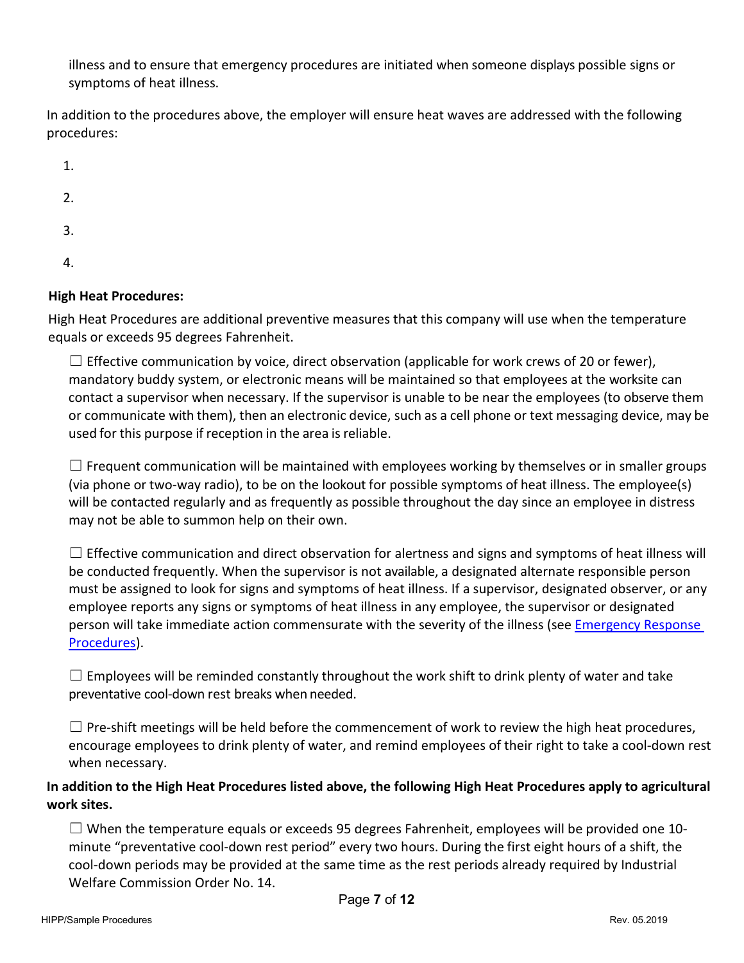illness and to ensure that emergency procedures are initiated when someone displays possible signs or symptoms of heat illness.

In addition to the procedures above, the employer will ensure heat waves are addressed with the following procedures:

1.

- 2.
- 3.
- 4.

# **High Heat Procedures:**

High Heat Procedures are additional preventive measures that this company will use when the temperature equals or exceeds 95 degrees Fahrenheit.

 $\Box$  Effective communication by voice, direct observation (applicable for work crews of 20 or fewer), mandatory buddy system, or electronic means will be maintained so that employees at the worksite can contact a supervisor when necessary. If the supervisor is unable to be near the employees (to observe them or communicate with them), then an electronic device, such as a cell phone or text messaging device, may be used for this purpose if reception in the area is reliable.

 $\Box$  Frequent communication will be maintained with employees working by themselves or in smaller groups (via phone or two-way radio), to be on the lookout for possible symptoms of heat illness. The employee(s) will be contacted regularly and as frequently as possible throughout the day since an employee in distress may not be able to summon help on their own.

 $\Box$  Effective communication and direct observation for alertness and signs and symptoms of heat illness will be conducted frequently. When the supervisor is not available, a designated alternate responsible person must be assigned to look for signs and symptoms of heat illness. If a supervisor, designated observer, or any employee reports any signs or symptoms of heat illness in any employee, the supervisor or designated person will take immediate action commensurate with the severity of the illness (see [Emergency Response](#page-8-0) [Procedures\)](#page-8-0).

 $\Box$  Employees will be reminded constantly throughout the work shift to drink plenty of water and take preventative cool-down rest breaks when needed.

 $\Box$  Pre-shift meetings will be held before the commencement of work to review the high heat procedures, encourage employees to drink plenty of water, and remind employees of their right to take a cool-down rest when necessary.

## **In addition to the High Heat Procedures listed above, the following High Heat Procedures apply to agricultural work sites.**

 $\Box$  When the temperature equals or exceeds 95 degrees Fahrenheit, employees will be provided one 10minute "preventative cool-down rest period" every two hours. During the first eight hours of a shift, the cool-down periods may be provided at the same time as the rest periods already required by Industrial Welfare Commission Order No. 14.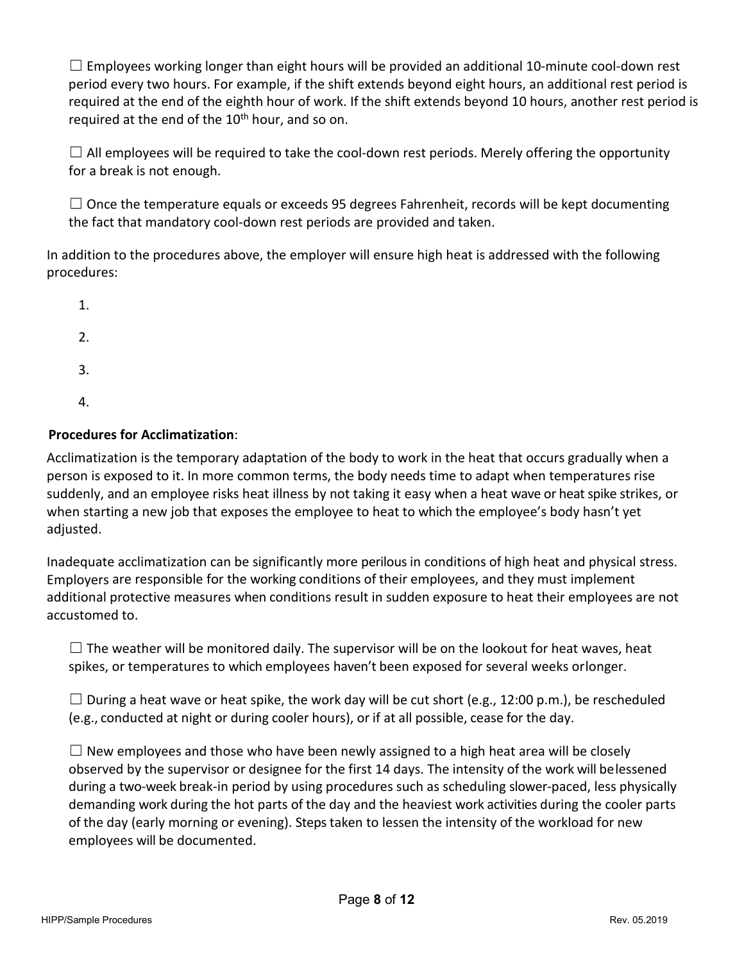$\Box$  Employees working longer than eight hours will be provided an additional 10-minute cool-down rest period every two hours. For example, if the shift extends beyond eight hours, an additional rest period is required at the end of the eighth hour of work. If the shift extends beyond 10 hours, another rest period is required at the end of the  $10<sup>th</sup>$  hour, and so on.

 $\Box$  All employees will be required to take the cool-down rest periods. Merely offering the opportunity for a break is not enough.

 $\Box$  Once the temperature equals or exceeds 95 degrees Fahrenheit, records will be kept documenting the fact that mandatory cool-down rest periods are provided and taken.

In addition to the procedures above, the employer will ensure high heat is addressed with the following procedures:

- 1.
- 2.
- 3.
- 4.

# **Procedures for Acclimatization**:

Acclimatization is the temporary adaptation of the body to work in the heat that occurs gradually when a person is exposed to it. In more common terms, the body needs time to adapt when temperatures rise suddenly, and an employee risks heat illness by not taking it easy when a heat wave or heat spike strikes, or when starting a new job that exposes the employee to heat to which the employee's body hasn't yet adjusted.

Inadequate acclimatization can be significantly more perilous in conditions of high heat and physical stress. Employers are responsible for the working conditions of their employees, and they must implement additional protective measures when conditions result in sudden exposure to heat their employees are not accustomed to.

 $\square$  The weather will be monitored daily. The supervisor will be on the lookout for heat waves, heat spikes, or temperatures to which employees haven't been exposed for several weeks orlonger.

 $\Box$  During a heat wave or heat spike, the work day will be cut short (e.g., 12:00 p.m.), be rescheduled (e.g., conducted at night or during cooler hours), or if at all possible, cease for the day.

 $\Box$  New employees and those who have been newly assigned to a high heat area will be closely observed by the supervisor or designee for the first 14 days. The intensity of the work will belessened during a two-week break-in period by using procedures such as scheduling slower-paced, less physically demanding work during the hot parts of the day and the heaviest work activities during the cooler parts of the day (early morning or evening). Steps taken to lessen the intensity of the workload for new employees will be documented.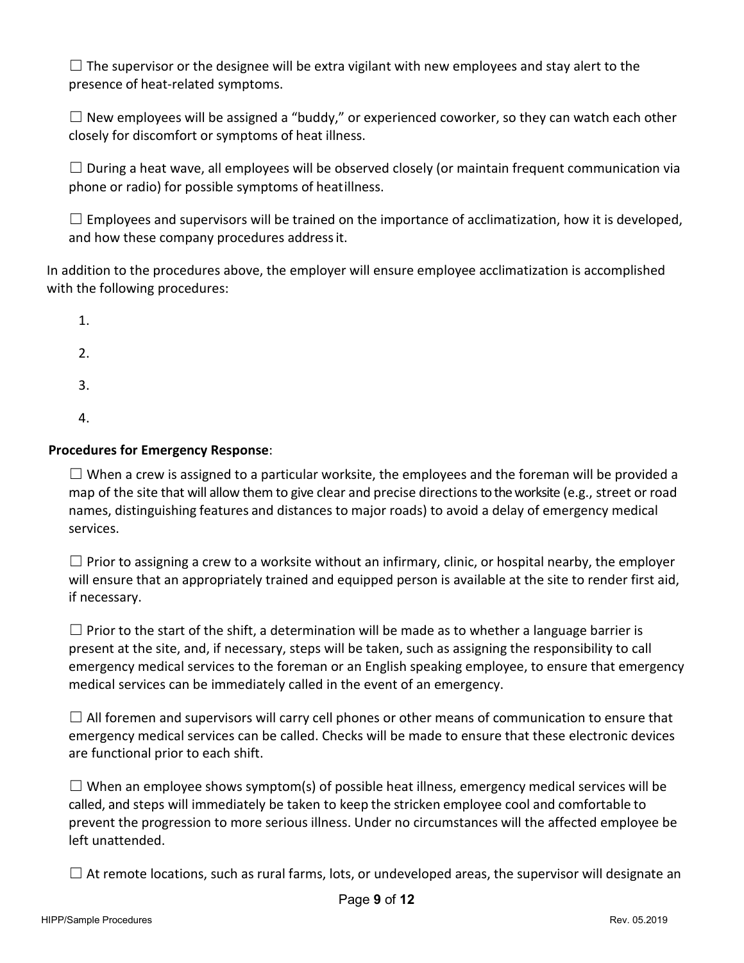$\Box$  The supervisor or the designee will be extra vigilant with new employees and stay alert to the presence of heat-related symptoms.

 $\Box$  New employees will be assigned a "buddy," or experienced coworker, so they can watch each other closely for discomfort or symptoms of heat illness.

 $\Box$  During a heat wave, all employees will be observed closely (or maintain frequent communication via phone or radio) for possible symptoms of heatillness.

 $\Box$  Employees and supervisors will be trained on the importance of acclimatization, how it is developed, and how these company procedures addressit.

In addition to the procedures above, the employer will ensure employee acclimatization is accomplished with the following procedures:

- 1.
- 2.
- 
- 3.
- 4.

## <span id="page-8-0"></span>**Procedures for Emergency Response**:

 $\Box$  When a crew is assigned to a particular worksite, the employees and the foreman will be provided a map of the site that will allow them to give clear and precise directionsto the worksite (e.g., street or road names, distinguishing features and distances to major roads) to avoid a delay of emergency medical services.

 $\Box$  Prior to assigning a crew to a worksite without an infirmary, clinic, or hospital nearby, the employer will ensure that an appropriately trained and equipped person is available at the site to render first aid, if necessary.

 $\Box$  Prior to the start of the shift, a determination will be made as to whether a language barrier is present at the site, and, if necessary, steps will be taken, such as assigning the responsibility to call emergency medical services to the foreman or an English speaking employee, to ensure that emergency medical services can be immediately called in the event of an emergency.

 $\Box$  All foremen and supervisors will carry cell phones or other means of communication to ensure that emergency medical services can be called. Checks will be made to ensure that these electronic devices are functional prior to each shift.

 $\Box$  When an employee shows symptom(s) of possible heat illness, emergency medical services will be called, and steps will immediately be taken to keep the stricken employee cool and comfortable to prevent the progression to more serious illness. Under no circumstances will the affected employee be left unattended.

 $\Box$  At remote locations, such as rural farms, lots, or undeveloped areas, the supervisor will designate an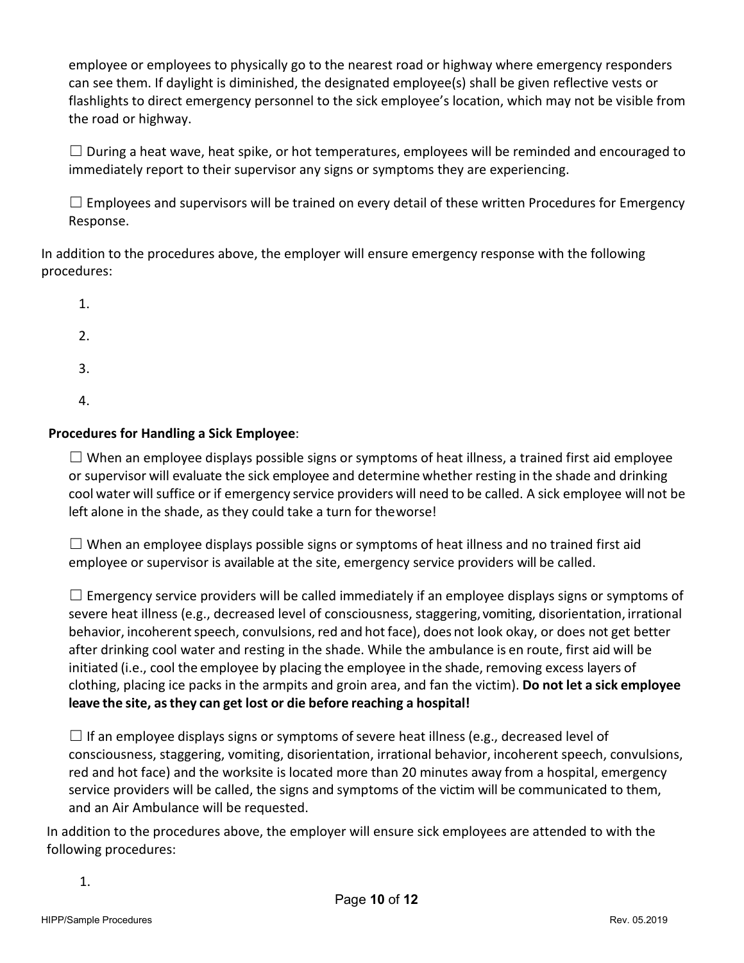employee or employees to physically go to the nearest road or highway where emergency responders can see them. If daylight is diminished, the designated employee(s) shall be given reflective vests or flashlights to direct emergency personnel to the sick employee's location, which may not be visible from the road or highway.

 $\Box$  During a heat wave, heat spike, or hot temperatures, employees will be reminded and encouraged to immediately report to their supervisor any signs or symptoms they are experiencing.

 $\Box$  Employees and supervisors will be trained on every detail of these written Procedures for Emergency Response.

In addition to the procedures above, the employer will ensure emergency response with the following procedures:

1. 2. 3. 4.

## **Procedures for Handling a Sick Employee**:

 $\Box$  When an employee displays possible signs or symptoms of heat illness, a trained first aid employee or supervisor will evaluate the sick employee and determine whether resting in the shade and drinking cool water will suffice or if emergency service providers will need to be called. A sick employee will not be left alone in the shade, as they could take a turn for theworse!

 $\square$  When an employee displays possible signs or symptoms of heat illness and no trained first aid employee or supervisor is available at the site, emergency service providers will be called.

 $\Box$  Emergency service providers will be called immediately if an employee displays signs or symptoms of severe heat illness (e.g., decreased level of consciousness, staggering, vomiting, disorientation, irrational behavior, incoherent speech, convulsions, red and hot face), does not look okay, or does not get better after drinking cool water and resting in the shade. While the ambulance is en route, first aid will be initiated (i.e., cool the employee by placing the employee in the shade, removing excess layers of clothing, placing ice packs in the armpits and groin area, and fan the victim). **Do not let a sick employee leave the site, asthey can get lost or die before reaching a hospital!**

 $\Box$  If an employee displays signs or symptoms of severe heat illness (e.g., decreased level of consciousness, staggering, vomiting, disorientation, irrational behavior, incoherent speech, convulsions, red and hot face) and the worksite is located more than 20 minutes away from a hospital, emergency service providers will be called, the signs and symptoms of the victim will be communicated to them, and an Air Ambulance will be requested.

In addition to the procedures above, the employer will ensure sick employees are attended to with the following procedures: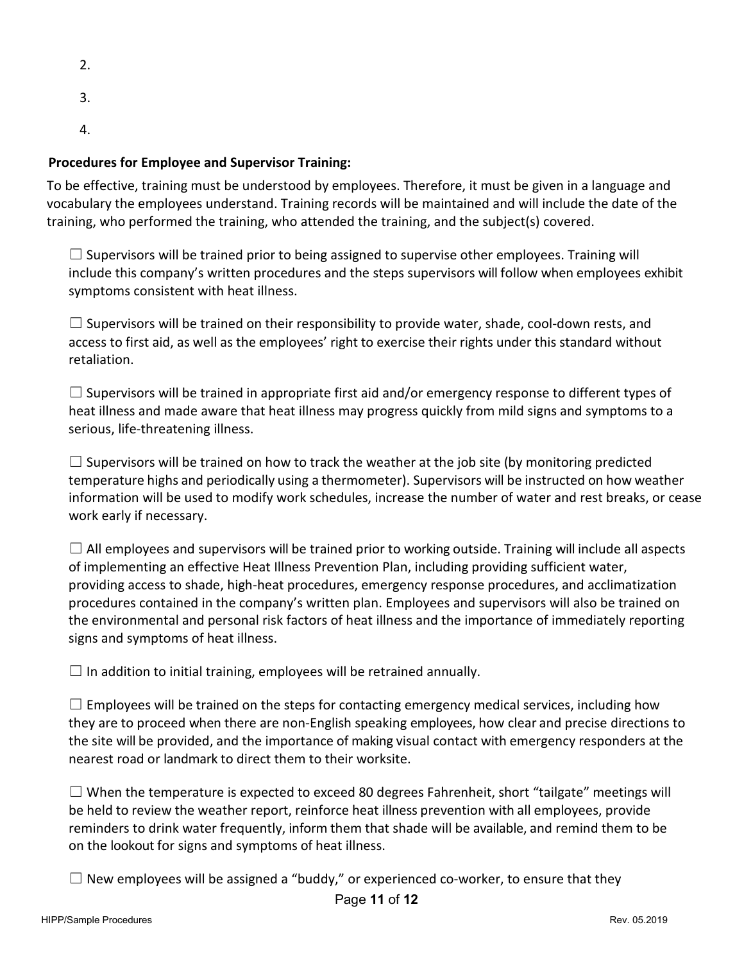- 2.
- 
- 3.
- 4.

# **Procedures for Employee and Supervisor Training:**

To be effective, training must be understood by employees. Therefore, it must be given in a language and vocabulary the employees understand. Training records will be maintained and will include the date of the training, who performed the training, who attended the training, and the subject(s) covered.

 $\square$  Supervisors will be trained prior to being assigned to supervise other employees. Training will include this company's written procedures and the steps supervisors will follow when employees exhibit symptoms consistent with heat illness.

 $\square$  Supervisors will be trained on their responsibility to provide water, shade, cool-down rests, and access to first aid, as well as the employees' right to exercise their rights under this standard without retaliation.

 $\Box$  Supervisors will be trained in appropriate first aid and/or emergency response to different types of heat illness and made aware that heat illness may progress quickly from mild signs and symptoms to a serious, life-threatening illness.

 $\Box$  Supervisors will be trained on how to track the weather at the job site (by monitoring predicted temperature highs and periodically using a thermometer). Supervisors will be instructed on how weather information will be used to modify work schedules, increase the number of water and rest breaks, or cease work early if necessary.

 $\Box$  All employees and supervisors will be trained prior to working outside. Training will include all aspects of implementing an effective Heat Illness Prevention Plan, including providing sufficient water, providing access to shade, high-heat procedures, emergency response procedures, and acclimatization procedures contained in the company's written plan. Employees and supervisors will also be trained on the environmental and personal risk factors of heat illness and the importance of immediately reporting signs and symptoms of heat illness.

 $\Box$  In addition to initial training, employees will be retrained annually.

 $\Box$  Employees will be trained on the steps for contacting emergency medical services, including how they are to proceed when there are non-English speaking employees, how clear and precise directions to the site will be provided, and the importance of making visual contact with emergency responders at the nearest road or landmark to direct them to their worksite.

 $\Box$  When the temperature is expected to exceed 80 degrees Fahrenheit, short "tailgate" meetings will be held to review the weather report, reinforce heat illness prevention with all employees, provide reminders to drink water frequently, inform them that shade will be available, and remind them to be on the lookout for signs and symptoms of heat illness.

 $\Box$  New employees will be assigned a "buddy," or experienced co-worker, to ensure that they